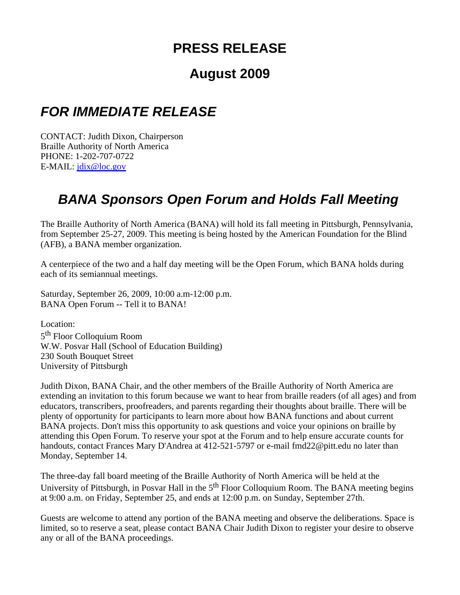## **PRESS RELEASE**

## **August 2009**

## *FOR IMMEDIATE RELEASE*

CONTACT: Judith Dixon, Chairperson Braille Authority of North America PHONE: 1-202-707-0722 E-MAIL: jdix@loc.gov

## *BANA Sponsors Open Forum and Holds Fall Meeting*

The Braille Authority of North America (BANA) will hold its fall meeting in Pittsburgh, Pennsylvania, from September 25-27, 2009. This meeting is being hosted by the American Foundation for the Blind (AFB), a BANA member organization.

A centerpiece of the two and a half day meeting will be the Open Forum, which BANA holds during each of its semiannual meetings.

Saturday, September 26, 2009, 10:00 a.m-12:00 p.m. BANA Open Forum -- Tell it to BANA!

Location: 5th Floor Colloquium Room W.W. Posvar Hall (School of Education Building) 230 South Bouquet Street University of Pittsburgh

Judith Dixon, BANA Chair, and the other members of the Braille Authority of North America are extending an invitation to this forum because we want to hear from braille readers (of all ages) and from educators, transcribers, proofreaders, and parents regarding their thoughts about braille. There will be plenty of opportunity for participants to learn more about how BANA functions and about current BANA projects. Don't miss this opportunity to ask questions and voice your opinions on braille by attending this Open Forum. To reserve your spot at the Forum and to help ensure accurate counts for handouts, contact Frances Mary D'Andrea at 412-521-5797 or e-mail fmd22@pitt.edu no later than Monday, September 14.

The three-day fall board meeting of the Braille Authority of North America will be held at the University of Pittsburgh, in Posvar Hall in the 5<sup>th</sup> Floor Colloquium Room. The BANA meeting begins at 9:00 a.m. on Friday, September 25, and ends at 12:00 p.m. on Sunday, September 27th.

Guests are welcome to attend any portion of the BANA meeting and observe the deliberations. Space is limited, so to reserve a seat, please contact BANA Chair Judith Dixon to register your desire to observe any or all of the BANA proceedings.